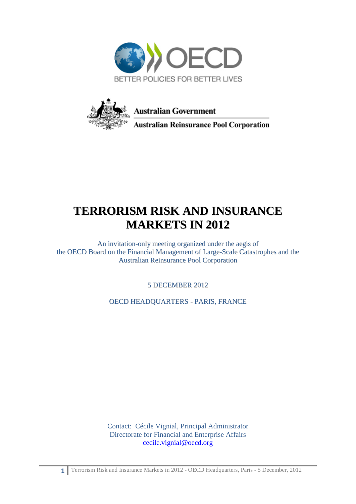



## **TERRORISM RISK AND INSURANCE MARKETS IN 2012**

An invitation-only meeting organized under the aegis of the OECD Board on the Financial Management of Large-Scale Catastrophes and the Australian Reinsurance Pool Corporation

5 DECEMBER 2012

OECD HEADQUARTERS - PARIS, FRANCE

Contact: Cécile Vignial, Principal Administrator Directorate for Financial and Enterprise Affairs [cecile.vignial@oecd.org](mailto:cecile.vignial@oecd.org)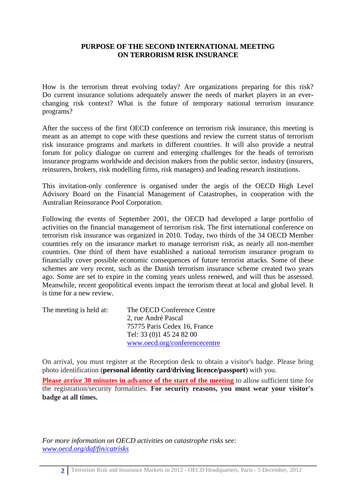## **PURPOSE OF THE SECOND INTERNATIONAL MEETING ON TERRORISM RISK INSURANCE**

How is the terrorism threat evolving today? Are organizations preparing for this risk? Do current insurance solutions adequately answer the needs of market players in an everchanging risk context? What is the future of temporary national terrorism insurance programs?

After the success of the first OECD conference on terrorism risk insurance, this meeting is meant as an attempt to cope with these questions and review the current status of terrorism risk insurance programs and markets in different countries. It will also provide a neutral forum for policy dialogue on current and emerging challenges for the heads of terrorism insurance programs worldwide and decision makers from the public sector, industry (insurers, reinsurers, brokers, risk modelling firms, risk managers) and leading research institutions.

This invitation-only conference is organised under the aegis of the OECD High Level Advisory Board on the Financial Management of Catastrophes, in cooperation with the Australian Reinsurance Pool Corporation.

Following the events of September 2001, the OECD had developed a large portfolio of activities on the financial management of terrorism risk. The first international conference on terrorism risk insurance was organized in 2010. Today, two thirds of the 34 OECD Member countries rely on the insurance market to manage terrorism risk, as nearly all non-member countries. One third of them have established a national terrorism insurance program to financially cover possible economic consequences of future terrorist attacks. Some of these schemes are very recent, such as the Danish terrorism insurance scheme created two years ago. Some are set to expire in the coming years unless renewed, and will thus be assessed. Meanwhile, recent geopolitical events impact the terrorism threat at local and global level. It is time for a new review.

| The meeting is held at: | The OECD Conference Centre    |
|-------------------------|-------------------------------|
|                         | 2, rue André Pascal           |
|                         | 75775 Paris Cedex 16, France  |
|                         | Tel: 33 (0) 1 45 24 82 00     |
|                         | www.oecd.org/conferencecentre |

On arrival, you must register at the Reception desk to obtain a visitor's badge. Please bring photo identification (**personal identity card/driving licence/passport**) with you.

**Please arrive 30 minutes in advance of the start of the meeting** to allow sufficient time for the registration/security formalities. **For security reasons, you must wear your visitor's badge at all times.**

*For more information on OECD activities on catastrophe risks see: [www.oecd.org/daf/fin/catrisks](http://www.oecd.org/daf/fin/catrisks)*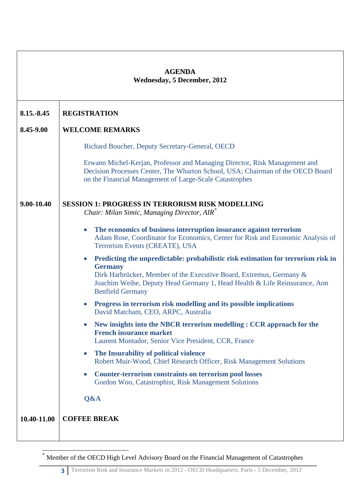| <b>AGENDA</b><br><b>Wednesday, 5 December, 2012</b> |                                                                                                                                                                                                                                                                                                 |  |
|-----------------------------------------------------|-------------------------------------------------------------------------------------------------------------------------------------------------------------------------------------------------------------------------------------------------------------------------------------------------|--|
| 8.15.-8.45                                          | <b>REGISTRATION</b>                                                                                                                                                                                                                                                                             |  |
| 8.45-9.00                                           | <b>WELCOME REMARKS</b>                                                                                                                                                                                                                                                                          |  |
|                                                     | Richard Boucher, Deputy Secretary-General, OECD                                                                                                                                                                                                                                                 |  |
|                                                     | Erwann Michel-Kerjan, Professor and Managing Director, Risk Management and<br>Decision Processes Center, The Wharton School, USA; Chairman of the OECD Board<br>on the Financial Management of Large-Scale Catastrophes                                                                         |  |
| 9.00-10.40                                          | <b>SESSION 1: PROGRESS IN TERRORISM RISK MODELLING</b><br>Chair: Milan Simic, Managing Director, AIR <sup>*</sup>                                                                                                                                                                               |  |
|                                                     | The economics of business interruption insurance against terrorism<br>$\bullet$<br>Adam Rose, Coordinator for Economics, Center for Risk and Economic Analysis of<br>Terrorism Events (CREATE), USA                                                                                             |  |
|                                                     | Predicting the unpredictable: probabilistic risk estimation for terrorism risk in<br>$\bullet$<br><b>Germany</b><br>Dirk Harbrücker, Member of the Executive Board, Extremus, Germany &<br>Joachim Weihe, Deputy Head Germany 1, Head Health & Life Reinsurance, Aon<br><b>Benfield Germany</b> |  |
|                                                     | Progress in terrorism risk modelling and its possible implications<br>$\bullet$<br>David Matcham, CEO, ARPC, Australia                                                                                                                                                                          |  |
|                                                     | New insights into the NBCR terrorism modelling : CCR approach for the<br><b>French insurance market</b><br>Laurent Montador, Senior Vice President, CCR, France                                                                                                                                 |  |
|                                                     | The Insurability of political violence<br>$\bullet$<br>Robert Muir-Wood, Chief Research Officer, Risk Management Solutions                                                                                                                                                                      |  |
|                                                     | <b>Counter-terrorism constraints on terrorism pool losses</b><br>$\bullet$<br>Gordon Woo, Catastrophist, Risk Management Solutions                                                                                                                                                              |  |
|                                                     | Q&A                                                                                                                                                                                                                                                                                             |  |
| 10.40-11.00                                         | <b>COFFEE BREAK</b>                                                                                                                                                                                                                                                                             |  |

-

<sup>\*</sup> Member of the OECD High Level Advisory Board on the Financial Management of Catastrophes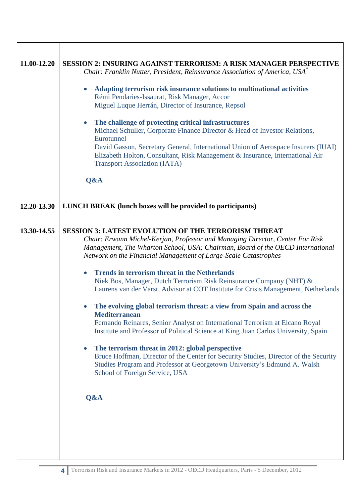| 11.00-12.20 | <b>SESSION 2: INSURING AGAINST TERRORISM: A RISK MANAGER PERSPECTIVE</b><br>Chair: Franklin Nutter, President, Reinsurance Association of America, USA*<br>Adapting terrorism risk insurance solutions to multinational activities<br>$\bullet$<br>Rémi Pendaries-Issaurat, Risk Manager, Accor<br>Miguel Luque Herrán, Director of Insurance, Repsol<br>The challenge of protecting critical infrastructures<br>$\bullet$<br>Michael Schuller, Corporate Finance Director & Head of Investor Relations,<br>Eurotunnel<br>David Gasson, Secretary General, International Union of Aerospace Insurers (IUAI)<br>Elizabeth Holton, Consultant, Risk Management & Insurance, International Air<br><b>Transport Association (IATA)</b><br>Q&A                                                                                                                                                                                                                                                                                                                                                |
|-------------|------------------------------------------------------------------------------------------------------------------------------------------------------------------------------------------------------------------------------------------------------------------------------------------------------------------------------------------------------------------------------------------------------------------------------------------------------------------------------------------------------------------------------------------------------------------------------------------------------------------------------------------------------------------------------------------------------------------------------------------------------------------------------------------------------------------------------------------------------------------------------------------------------------------------------------------------------------------------------------------------------------------------------------------------------------------------------------------|
| 12.20-13.30 | <b>LUNCH BREAK</b> (lunch boxes will be provided to participants)                                                                                                                                                                                                                                                                                                                                                                                                                                                                                                                                                                                                                                                                                                                                                                                                                                                                                                                                                                                                                        |
| 13.30-14.55 | <b>SESSION 3: LATEST EVOLUTION OF THE TERRORISM THREAT</b><br>Chair: Erwann Michel-Kerjan, Professor and Managing Director, Center For Risk<br>Management, The Wharton School, USA; Chairman, Board of the OECD International<br>Network on the Financial Management of Large-Scale Catastrophes<br><b>Trends in terrorism threat in the Netherlands</b><br>$\bullet$<br>Niek Bos, Manager, Dutch Terrorism Risk Reinsurance Company (NHT) &<br>Laurens van der Varst, Advisor at COT Institute for Crisis Management, Netherlands<br>The evolving global terrorism threat: a view from Spain and across the<br><b>Mediterranean</b><br>Fernando Reinares, Senior Analyst on International Terrorism at Elcano Royal<br>Institute and Professor of Political Science at King Juan Carlos University, Spain<br>The terrorism threat in 2012: global perspective<br>$\bullet$<br>Bruce Hoffman, Director of the Center for Security Studies, Director of the Security<br>Studies Program and Professor at Georgetown University's Edmund A. Walsh<br>School of Foreign Service, USA<br>Q&A |